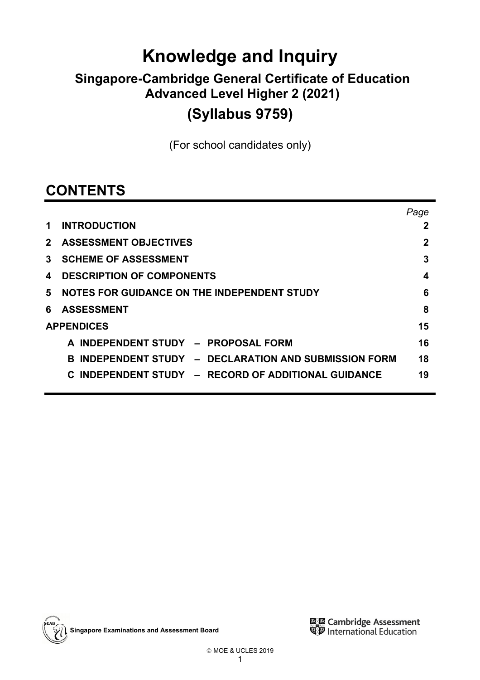# **Knowledge and Inquiry**

## **Singapore-Cambridge General Certificate of Education Advanced Level Higher 2 (2021) (Syllabus 9759)**

(For school candidates only)

## **CONTENTS**

|              |                                                           | Page |
|--------------|-----------------------------------------------------------|------|
| 1.           | <b>INTRODUCTION</b>                                       | 2    |
| $\mathbf{2}$ | <b>ASSESSMENT OBJECTIVES</b>                              | 2    |
| 3            | <b>SCHEME OF ASSESSMENT</b>                               | 3    |
| 4            | <b>DESCRIPTION OF COMPONENTS</b>                          | 4    |
| 5            | NOTES FOR GUIDANCE ON THE INDEPENDENT STUDY               | 6    |
| 6            | <b>ASSESSMENT</b>                                         | 8    |
|              | <b>APPENDICES</b>                                         | 15   |
|              | A INDEPENDENT STUDY - PROPOSAL FORM                       | 16   |
|              | INDEPENDENT STUDY - DECLARATION AND SUBMISSION FORM<br>R. | 18   |
|              | INDEPENDENT STUDY - RECORD OF ADDITIONAL GUIDANCE         | 19   |
|              |                                                           |      |

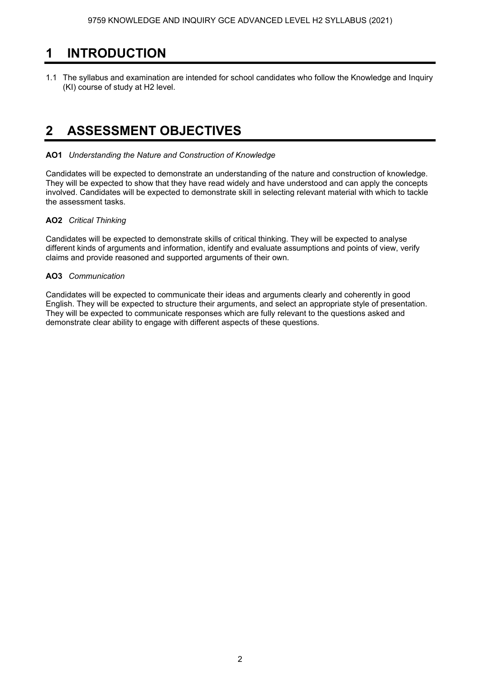### **1 INTRODUCTION**

1.1 The syllabus and examination are intended for school candidates who follow the Knowledge and Inquiry (KI) course of study at H2 level.

### **2 ASSESSMENT OBJECTIVES**

### **AO1** *Understanding the Nature and Construction of Knowledge*

Candidates will be expected to demonstrate an understanding of the nature and construction of knowledge. They will be expected to show that they have read widely and have understood and can apply the concepts involved. Candidates will be expected to demonstrate skill in selecting relevant material with which to tackle the assessment tasks.

### **AO2** *Critical Thinking*

Candidates will be expected to demonstrate skills of critical thinking. They will be expected to analyse different kinds of arguments and information, identify and evaluate assumptions and points of view, verify claims and provide reasoned and supported arguments of their own.

### **AO3** *Communication*

Candidates will be expected to communicate their ideas and arguments clearly and coherently in good English. They will be expected to structure their arguments, and select an appropriate style of presentation. They will be expected to communicate responses which are fully relevant to the questions asked and demonstrate clear ability to engage with different aspects of these questions.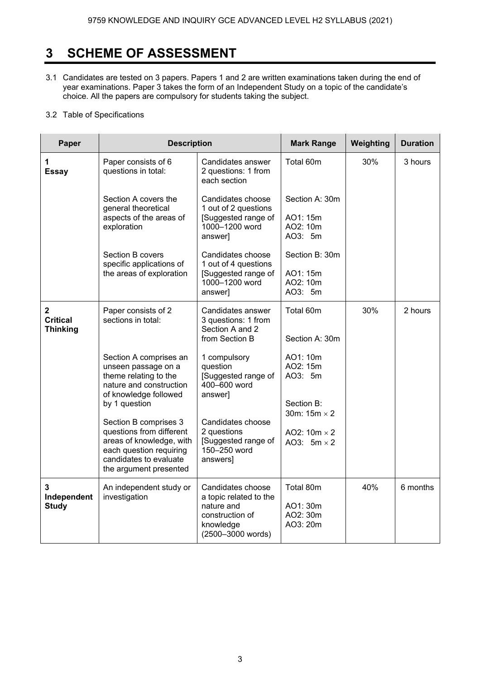### **3 SCHEME OF ASSESSMENT**

- 3.1 Candidates are tested on 3 papers. Papers 1 and 2 are written examinations taken during the end of year examinations. Paper 3 takes the form of an Independent Study on a topic of the candidate's choice. All the papers are compulsory for students taking the subject.
- 3.2 Table of Specifications

| Paper                                              | <b>Description</b>                                                                                                                                           |                                                                                                                                                    | <b>Mark Range</b>                                 | Weighting | <b>Duration</b> |
|----------------------------------------------------|--------------------------------------------------------------------------------------------------------------------------------------------------------------|----------------------------------------------------------------------------------------------------------------------------------------------------|---------------------------------------------------|-----------|-----------------|
| 1<br><b>Essay</b>                                  | Paper consists of 6<br>questions in total:                                                                                                                   | Candidates answer<br>2 questions: 1 from<br>each section                                                                                           | Total 60m                                         | 30%       | 3 hours         |
|                                                    | Section A covers the<br>general theoretical<br>aspects of the areas of<br>exploration                                                                        | Candidates choose<br>1 out of 2 questions<br>[Suggested range of<br>1000-1200 word<br>answer]                                                      | Section A: 30m<br>AO1: 15m<br>AO2: 10m<br>AO3: 5m |           |                 |
|                                                    | Section B covers<br>specific applications of<br>the areas of exploration                                                                                     | Candidates choose<br>1 out of 4 questions<br>[Suggested range of<br>1000-1200 word<br>answer]                                                      | Section B: 30m<br>AO1: 15m<br>AO2: 10m<br>AO3: 5m |           |                 |
| $\mathbf{2}$<br><b>Critical</b><br><b>Thinking</b> | Paper consists of 2<br>sections in total:                                                                                                                    | Candidates answer<br>3 questions: 1 from<br>Section A and 2<br>from Section B                                                                      | Total 60m<br>Section A: 30m                       | 30%       | 2 hours         |
|                                                    | Section A comprises an<br>unseen passage on a<br>theme relating to the<br>nature and construction<br>of knowledge followed<br>by 1 question                  | AO1: 10m<br>1 compulsory<br>question<br>AO2: 15m<br>[Suggested range of<br>AO3: 5m<br>400-600 word<br>answer]<br>Section B:<br>30m: $15m \times 2$ |                                                   |           |                 |
|                                                    | Section B comprises 3<br>questions from different<br>areas of knowledge, with<br>each question requiring<br>candidates to evaluate<br>the argument presented | Candidates choose<br>2 questions<br>[Suggested range of<br>150-250 word<br>answers]                                                                | AO2: $10m \times 2$<br>AO3: $5m \times 2$         |           |                 |
| 3<br>Independent<br><b>Study</b>                   | An independent study or<br>investigation                                                                                                                     | Candidates choose<br>a topic related to the<br>nature and<br>construction of<br>knowledge<br>(2500-3000 words)                                     | Total 80m<br>AO1:30m<br>AO2: 30m<br>AO3: 20m      | 40%       | 6 months        |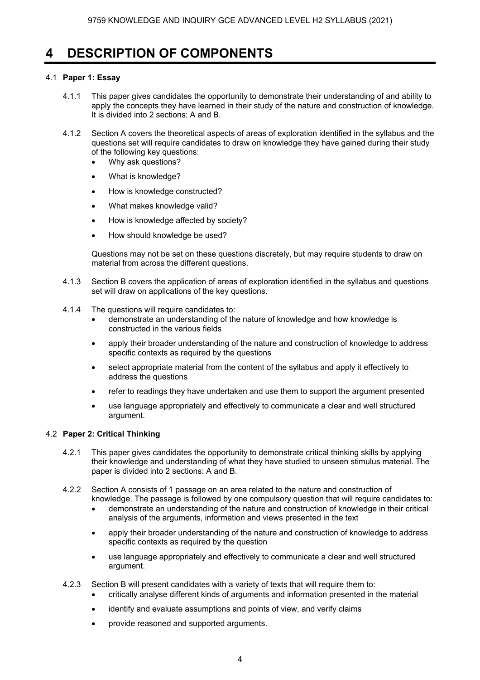### **4 DESCRIPTION OF COMPONENTS**

### 4.1 **Paper 1: Essay**

- 4.1.1 This paper gives candidates the opportunity to demonstrate their understanding of and ability to apply the concepts they have learned in their study of the nature and construction of knowledge. It is divided into 2 sections: A and B.
- 4.1.2 Section A covers the theoretical aspects of areas of exploration identified in the syllabus and the questions set will require candidates to draw on knowledge they have gained during their study of the following key questions:
	- Why ask questions?
	- What is knowledge?
	- How is knowledge constructed?
	- What makes knowledge valid?
	- How is knowledge affected by society?
	- How should knowledge be used?

Questions may not be set on these questions discretely, but may require students to draw on material from across the different questions.

- 4.1.3 Section B covers the application of areas of exploration identified in the syllabus and questions set will draw on applications of the key questions.
- 4.1.4 The questions will require candidates to:
	- demonstrate an understanding of the nature of knowledge and how knowledge is constructed in the various fields
	- apply their broader understanding of the nature and construction of knowledge to address specific contexts as required by the questions
	- select appropriate material from the content of the syllabus and apply it effectively to address the questions
	- refer to readings they have undertaken and use them to support the argument presented
	- use language appropriately and effectively to communicate a clear and well structured argument.

### 4.2 **Paper 2: Critical Thinking**

- 4.2.1 This paper gives candidates the opportunity to demonstrate critical thinking skills by applying their knowledge and understanding of what they have studied to unseen stimulus material. The paper is divided into 2 sections: A and B.
- 4.2.2 Section A consists of 1 passage on an area related to the nature and construction of knowledge. The passage is followed by one compulsory question that will require candidates to:
	- demonstrate an understanding of the nature and construction of knowledge in their critical analysis of the arguments, information and views presented in the text
	- apply their broader understanding of the nature and construction of knowledge to address specific contexts as required by the question
	- use language appropriately and effectively to communicate a clear and well structured argument.
- 4.2.3 Section B will present candidates with a variety of texts that will require them to:
	- critically analyse different kinds of arguments and information presented in the material
	- identify and evaluate assumptions and points of view, and verify claims
	- provide reasoned and supported arguments.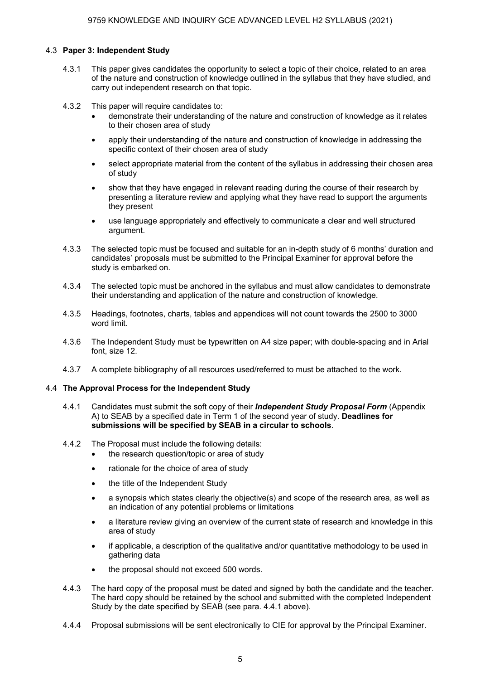### 4.3 **Paper 3: Independent Study**

- 4.3.1 This paper gives candidates the opportunity to select a topic of their choice, related to an area of the nature and construction of knowledge outlined in the syllabus that they have studied, and carry out independent research on that topic.
- 4.3.2 This paper will require candidates to:
	- demonstrate their understanding of the nature and construction of knowledge as it relates to their chosen area of study
	- apply their understanding of the nature and construction of knowledge in addressing the specific context of their chosen area of study
	- select appropriate material from the content of the syllabus in addressing their chosen area of study
	- show that they have engaged in relevant reading during the course of their research by presenting a literature review and applying what they have read to support the arguments they present
	- use language appropriately and effectively to communicate a clear and well structured argument.
- 4.3.3 The selected topic must be focused and suitable for an in-depth study of 6 months' duration and candidates' proposals must be submitted to the Principal Examiner for approval before the study is embarked on.
- 4.3.4 The selected topic must be anchored in the syllabus and must allow candidates to demonstrate their understanding and application of the nature and construction of knowledge.
- 4.3.5 Headings, footnotes, charts, tables and appendices will not count towards the 2500 to 3000 word limit.
- 4.3.6 The Independent Study must be typewritten on A4 size paper; with double-spacing and in Arial font, size 12.
- 4.3.7 A complete bibliography of all resources used/referred to must be attached to the work.

### 4.4 **The Approval Process for the Independent Study**

- 4.4.1 Candidates must submit the soft copy of their *Independent Study Proposal Form* (Appendix A) to SEAB by a specified date in Term 1 of the second year of study. **Deadlines for submissions will be specified by SEAB in a circular to schools**.
- 4.4.2 The Proposal must include the following details:
	- the research question/topic or area of study
	- rationale for the choice of area of study
	- the title of the Independent Study
	- a synopsis which states clearly the objective(s) and scope of the research area, as well as an indication of any potential problems or limitations
	- a literature review giving an overview of the current state of research and knowledge in this area of study
	- if applicable, a description of the qualitative and/or quantitative methodology to be used in gathering data
	- the proposal should not exceed 500 words.
- 4.4.3 The hard copy of the proposal must be dated and signed by both the candidate and the teacher. The hard copy should be retained by the school and submitted with the completed Independent Study by the date specified by SEAB (see para. 4.4.1 above).
- 4.4.4 Proposal submissions will be sent electronically to CIE for approval by the Principal Examiner.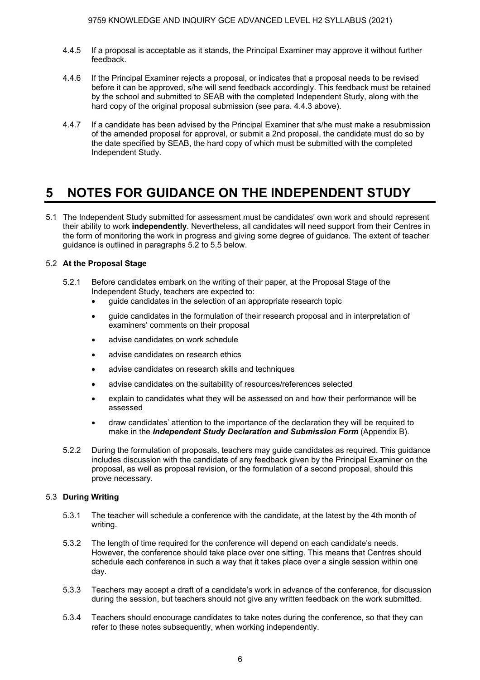- 4.4.5 If a proposal is acceptable as it stands, the Principal Examiner may approve it without further feedback.
- 4.4.6 If the Principal Examiner rejects a proposal, or indicates that a proposal needs to be revised before it can be approved, s/he will send feedback accordingly. This feedback must be retained by the school and submitted to SEAB with the completed Independent Study, along with the hard copy of the original proposal submission (see para. 4.4.3 above).
- 4.4.7 If a candidate has been advised by the Principal Examiner that s/he must make a resubmission of the amended proposal for approval, or submit a 2nd proposal, the candidate must do so by the date specified by SEAB, the hard copy of which must be submitted with the completed Independent Study.

### **5 NOTES FOR GUIDANCE ON THE INDEPENDENT STUDY**

5.1 The Independent Study submitted for assessment must be candidates' own work and should represent their ability to work **independently**. Nevertheless, all candidates will need support from their Centres in the form of monitoring the work in progress and giving some degree of guidance. The extent of teacher guidance is outlined in paragraphs 5.2 to 5.5 below.

### 5.2 **At the Proposal Stage**

- 5.2.1 Before candidates embark on the writing of their paper, at the Proposal Stage of the Independent Study, teachers are expected to:
	- guide candidates in the selection of an appropriate research topic
	- guide candidates in the formulation of their research proposal and in interpretation of examiners' comments on their proposal
	- advise candidates on work schedule
	- advise candidates on research ethics
	- advise candidates on research skills and techniques
	- advise candidates on the suitability of resources/references selected
	- explain to candidates what they will be assessed on and how their performance will be assessed
	- draw candidates' attention to the importance of the declaration they will be required to make in the *Independent Study Declaration and Submission Form* (Appendix B).
- 5.2.2 During the formulation of proposals, teachers may guide candidates as required. This guidance includes discussion with the candidate of any feedback given by the Principal Examiner on the proposal, as well as proposal revision, or the formulation of a second proposal, should this prove necessary.

### 5.3 **During Writing**

- 5.3.1 The teacher will schedule a conference with the candidate, at the latest by the 4th month of writing.
- 5.3.2 The length of time required for the conference will depend on each candidate's needs. However, the conference should take place over one sitting. This means that Centres should schedule each conference in such a way that it takes place over a single session within one day.
- 5.3.3 Teachers may accept a draft of a candidate's work in advance of the conference, for discussion during the session, but teachers should not give any written feedback on the work submitted.
- 5.3.4 Teachers should encourage candidates to take notes during the conference, so that they can refer to these notes subsequently, when working independently.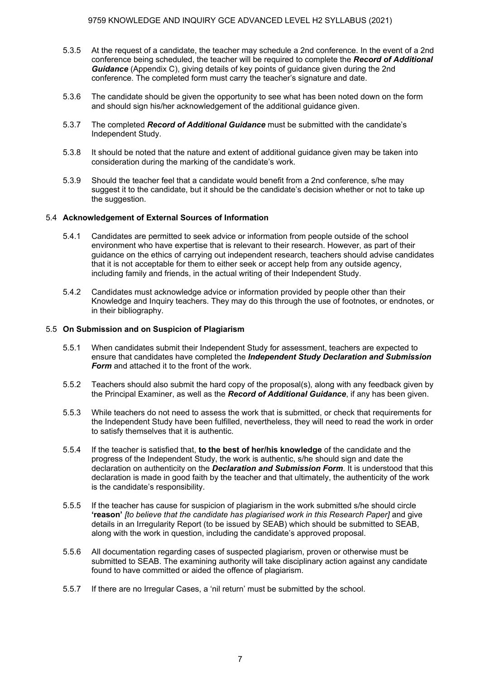- 5.3.5 At the request of a candidate, the teacher may schedule a 2nd conference. In the event of a 2nd conference being scheduled, the teacher will be required to complete the *Record of Additional Guidance* (Appendix C), giving details of key points of guidance given during the 2nd conference. The completed form must carry the teacher's signature and date.
- 5.3.6 The candidate should be given the opportunity to see what has been noted down on the form and should sign his/her acknowledgement of the additional guidance given.
- 5.3.7 The completed *Record of Additional Guidance* must be submitted with the candidate's Independent Study.
- 5.3.8 It should be noted that the nature and extent of additional guidance given may be taken into consideration during the marking of the candidate's work.
- 5.3.9 Should the teacher feel that a candidate would benefit from a 2nd conference, s/he may suggest it to the candidate, but it should be the candidate's decision whether or not to take up the suggestion.

### 5.4 **Acknowledgement of External Sources of Information**

- 5.4.1 Candidates are permitted to seek advice or information from people outside of the school environment who have expertise that is relevant to their research. However, as part of their guidance on the ethics of carrying out independent research, teachers should advise candidates that it is not acceptable for them to either seek or accept help from any outside agency, including family and friends, in the actual writing of their Independent Study.
- 5.4.2 Candidates must acknowledge advice or information provided by people other than their Knowledge and Inquiry teachers. They may do this through the use of footnotes, or endnotes, or in their bibliography.

#### 5.5 **On Submission and on Suspicion of Plagiarism**

- 5.5.1 When candidates submit their Independent Study for assessment, teachers are expected to ensure that candidates have completed the *Independent Study Declaration and Submission Form* and attached it to the front of the work.
- 5.5.2 Teachers should also submit the hard copy of the proposal(s), along with any feedback given by the Principal Examiner, as well as the *Record of Additional Guidance*, if any has been given.
- 5.5.3 While teachers do not need to assess the work that is submitted, or check that requirements for the Independent Study have been fulfilled, nevertheless, they will need to read the work in order to satisfy themselves that it is authentic.
- 5.5.4 If the teacher is satisfied that, **to the best of her/his knowledge** of the candidate and the progress of the Independent Study, the work is authentic, s/he should sign and date the declaration on authenticity on the *Declaration and Submission Form*. It is understood that this declaration is made in good faith by the teacher and that ultimately, the authenticity of the work is the candidate's responsibility.
- 5.5.5 If the teacher has cause for suspicion of plagiarism in the work submitted s/he should circle **'reason'** *[to believe that the candidate has plagiarised work in this Research Paper]* and give details in an Irregularity Report (to be issued by SEAB) which should be submitted to SEAB, along with the work in question, including the candidate's approved proposal.
- 5.5.6 All documentation regarding cases of suspected plagiarism, proven or otherwise must be submitted to SEAB. The examining authority will take disciplinary action against any candidate found to have committed or aided the offence of plagiarism.
- 5.5.7 If there are no Irregular Cases, a 'nil return' must be submitted by the school.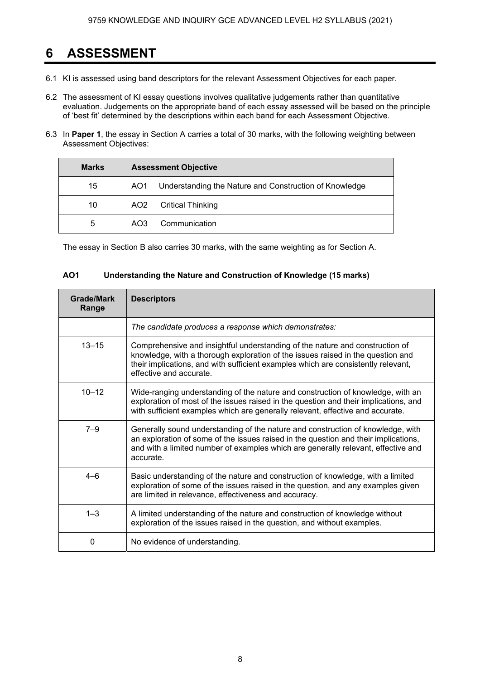### **6 ASSESSMENT**

- 6.1 KI is assessed using band descriptors for the relevant Assessment Objectives for each paper.
- 6.2 The assessment of KI essay questions involves qualitative judgements rather than quantitative evaluation. Judgements on the appropriate band of each essay assessed will be based on the principle of 'best fit' determined by the descriptions within each band for each Assessment Objective.
- 6.3 In **Paper 1**, the essay in Section A carries a total of 30 marks, with the following weighting between Assessment Objectives:

| <b>Marks</b> | <b>Assessment Objective</b>                                   |  |
|--------------|---------------------------------------------------------------|--|
| 15           | Understanding the Nature and Construction of Knowledge<br>AO1 |  |
| 10           | <b>Critical Thinking</b><br>AO <sub>2</sub>                   |  |
| 5            | Communication<br>AO <sub>3</sub>                              |  |

The essay in Section B also carries 30 marks, with the same weighting as for Section A.

| <b>AO1</b><br>Understanding the Nature and Construction of Knowledge (15 marks) |                                                                                                                                                                                                                                                                                 |  |
|---------------------------------------------------------------------------------|---------------------------------------------------------------------------------------------------------------------------------------------------------------------------------------------------------------------------------------------------------------------------------|--|
| <b>Grade/Mark</b><br>Range                                                      | <b>Descriptors</b>                                                                                                                                                                                                                                                              |  |
|                                                                                 | The candidate produces a response which demonstrates:                                                                                                                                                                                                                           |  |
| $13 - 15$                                                                       | Comprehensive and insightful understanding of the nature and construction of<br>knowledge, with a thorough exploration of the issues raised in the question and<br>their implications, and with sufficient examples which are consistently relevant,<br>effective and accurate. |  |
| $10 - 12$                                                                       | Wide-ranging understanding of the nature and construction of knowledge, with an<br>exploration of most of the issues raised in the question and their implications, and<br>with sufficient examples which are generally relevant, effective and accurate.                       |  |
| $7 - 9$                                                                         | Generally sound understanding of the nature and construction of knowledge, with<br>an exploration of some of the issues raised in the question and their implications,<br>and with a limited number of examples which are generally relevant, effective and<br>accurate.        |  |
| $4 - 6$                                                                         | Basic understanding of the nature and construction of knowledge, with a limited<br>exploration of some of the issues raised in the question, and any examples given<br>are limited in relevance, effectiveness and accuracy.                                                    |  |
| $1 - 3$                                                                         | A limited understanding of the nature and construction of knowledge without<br>exploration of the issues raised in the question, and without examples.                                                                                                                          |  |
| 0                                                                               | No evidence of understanding.                                                                                                                                                                                                                                                   |  |
|                                                                                 |                                                                                                                                                                                                                                                                                 |  |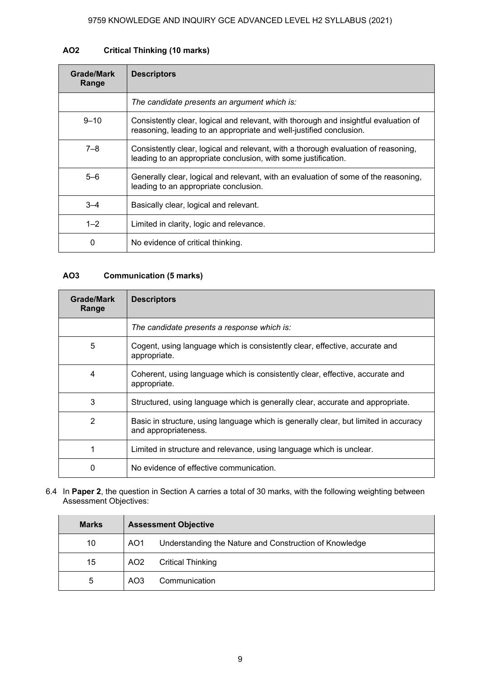### **AO2 Critical Thinking (10 marks)**

| Grade/Mark<br>Range | <b>Descriptors</b>                                                                                                                                          |
|---------------------|-------------------------------------------------------------------------------------------------------------------------------------------------------------|
|                     | The candidate presents an argument which is:                                                                                                                |
| $9 - 10$            | Consistently clear, logical and relevant, with thorough and insightful evaluation of<br>reasoning, leading to an appropriate and well-justified conclusion. |
| $7 - 8$             | Consistently clear, logical and relevant, with a thorough evaluation of reasoning,<br>leading to an appropriate conclusion, with some justification.        |
| $5 - 6$             | Generally clear, logical and relevant, with an evaluation of some of the reasoning,<br>leading to an appropriate conclusion.                                |
| $3 - 4$             | Basically clear, logical and relevant.                                                                                                                      |
| $1 - 2$             | Limited in clarity, logic and relevance.                                                                                                                    |
| 0                   | No evidence of critical thinking.                                                                                                                           |

### **AO3 Communication (5 marks)**

| Grade/Mark<br>Range | <b>Descriptors</b>                                                                                           |
|---------------------|--------------------------------------------------------------------------------------------------------------|
|                     | The candidate presents a response which is:                                                                  |
| 5                   | Cogent, using language which is consistently clear, effective, accurate and<br>appropriate.                  |
| 4                   | Coherent, using language which is consistently clear, effective, accurate and<br>appropriate.                |
| 3                   | Structured, using language which is generally clear, accurate and appropriate.                               |
| 2                   | Basic in structure, using language which is generally clear, but limited in accuracy<br>and appropriateness. |
| 1                   | Limited in structure and relevance, using language which is unclear.                                         |
| $\Omega$            | No evidence of effective communication.                                                                      |

6.4 In **Paper 2**, the question in Section A carries a total of 30 marks, with the following weighting between Assessment Objectives:

| <b>Marks</b> | <b>Assessment Objective</b> |                                                        |  |
|--------------|-----------------------------|--------------------------------------------------------|--|
| 10           | AO <sub>1</sub>             | Understanding the Nature and Construction of Knowledge |  |
| 15           | AO <sub>2</sub>             | <b>Critical Thinking</b>                               |  |
| 5            | AO3                         | Communication                                          |  |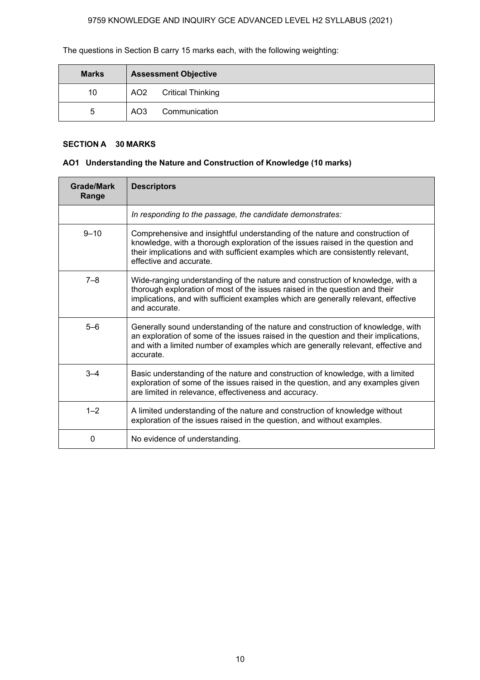The questions in Section B carry 15 marks each, with the following weighting:

| <b>Marks</b> | <b>Assessment Objective</b> |                          |
|--------------|-----------------------------|--------------------------|
| 10           | AO2                         | <b>Critical Thinking</b> |
| 5            | AO <sub>3</sub>             | Communication            |

### **SECTION A 30 MARKS**

### **AO1 Understanding the Nature and Construction of Knowledge (10 marks)**

| <b>Grade/Mark</b><br>Range | <b>Descriptors</b>                                                                                                                                                                                                                                                             |
|----------------------------|--------------------------------------------------------------------------------------------------------------------------------------------------------------------------------------------------------------------------------------------------------------------------------|
|                            | In responding to the passage, the candidate demonstrates:                                                                                                                                                                                                                      |
| $9 - 10$                   | Comprehensive and insightful understanding of the nature and construction of<br>knowledge, with a thorough exploration of the issues raised in the question and<br>their implications and with sufficient examples which are consistently relevant,<br>effective and accurate. |
| $7 - 8$                    | Wide-ranging understanding of the nature and construction of knowledge, with a<br>thorough exploration of most of the issues raised in the question and their<br>implications, and with sufficient examples which are generally relevant, effective<br>and accurate.           |
| $5 - 6$                    | Generally sound understanding of the nature and construction of knowledge, with<br>an exploration of some of the issues raised in the question and their implications,<br>and with a limited number of examples which are generally relevant, effective and<br>accurate.       |
| $3 - 4$                    | Basic understanding of the nature and construction of knowledge, with a limited<br>exploration of some of the issues raised in the question, and any examples given<br>are limited in relevance, effectiveness and accuracy.                                                   |
| $1 - 2$                    | A limited understanding of the nature and construction of knowledge without<br>exploration of the issues raised in the question, and without examples.                                                                                                                         |
| $\Omega$                   | No evidence of understanding.                                                                                                                                                                                                                                                  |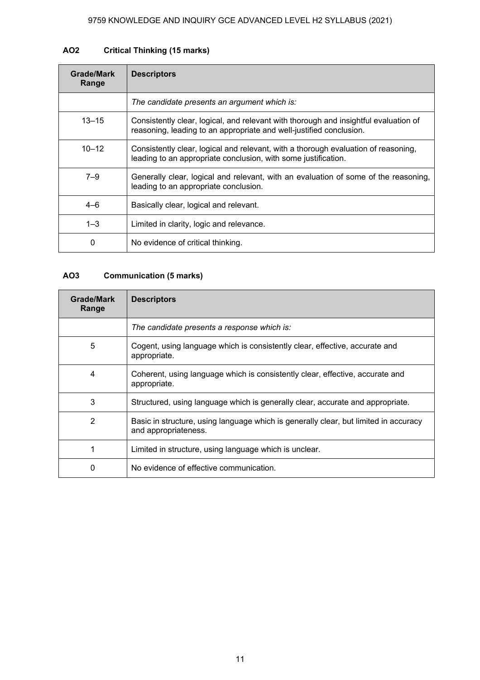### **AO2 Critical Thinking (15 marks)**

| Grade/Mark<br>Range | <b>Descriptors</b>                                                                                                                                          |
|---------------------|-------------------------------------------------------------------------------------------------------------------------------------------------------------|
|                     | The candidate presents an argument which is:                                                                                                                |
| $13 - 15$           | Consistently clear, logical, and relevant with thorough and insightful evaluation of<br>reasoning, leading to an appropriate and well-justified conclusion. |
| $10 - 12$           | Consistently clear, logical and relevant, with a thorough evaluation of reasoning,<br>leading to an appropriate conclusion, with some justification.        |
| $7 - 9$             | Generally clear, logical and relevant, with an evaluation of some of the reasoning,<br>leading to an appropriate conclusion.                                |
| $4 - 6$             | Basically clear, logical and relevant.                                                                                                                      |
| $1 - 3$             | Limited in clarity, logic and relevance.                                                                                                                    |
| 0                   | No evidence of critical thinking.                                                                                                                           |

### **AO3 Communication (5 marks)**

| Grade/Mark<br>Range | <b>Descriptors</b>                                                                                           |
|---------------------|--------------------------------------------------------------------------------------------------------------|
|                     | The candidate presents a response which is:                                                                  |
| 5                   | Cogent, using language which is consistently clear, effective, accurate and<br>appropriate.                  |
| 4                   | Coherent, using language which is consistently clear, effective, accurate and<br>appropriate.                |
| 3                   | Structured, using language which is generally clear, accurate and appropriate.                               |
| $\overline{2}$      | Basic in structure, using language which is generally clear, but limited in accuracy<br>and appropriateness. |
|                     | Limited in structure, using language which is unclear.                                                       |
| 0                   | No evidence of effective communication.                                                                      |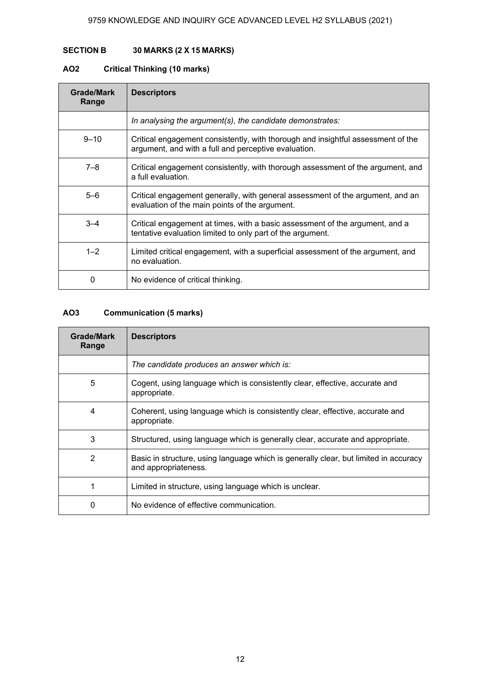### **SECTION B 30 MARKS (2 X 15 MARKS)**

### **AO2 Critical Thinking (10 marks)**

| Grade/Mark<br>Range | <b>Descriptors</b>                                                                                                                         |
|---------------------|--------------------------------------------------------------------------------------------------------------------------------------------|
|                     | In analysing the argument(s), the candidate demonstrates:                                                                                  |
| $9 - 10$            | Critical engagement consistently, with thorough and insightful assessment of the<br>argument, and with a full and perceptive evaluation.   |
| $7 - 8$             | Critical engagement consistently, with thorough assessment of the argument, and<br>a full evaluation.                                      |
| $5-6$               | Critical engagement generally, with general assessment of the argument, and an<br>evaluation of the main points of the argument.           |
| $3 - 4$             | Critical engagement at times, with a basic assessment of the argument, and a<br>tentative evaluation limited to only part of the argument. |
| $1 - 2$             | Limited critical engagement, with a superficial assessment of the argument, and<br>no evaluation.                                          |
| 0                   | No evidence of critical thinking.                                                                                                          |

### **AO3 Communication (5 marks)**

| Grade/Mark<br>Range | <b>Descriptors</b>                                                                                           |
|---------------------|--------------------------------------------------------------------------------------------------------------|
|                     | The candidate produces an answer which is:                                                                   |
| 5                   | Cogent, using language which is consistently clear, effective, accurate and<br>appropriate.                  |
| 4                   | Coherent, using language which is consistently clear, effective, accurate and<br>appropriate.                |
| 3                   | Structured, using language which is generally clear, accurate and appropriate.                               |
| 2                   | Basic in structure, using language which is generally clear, but limited in accuracy<br>and appropriateness. |
|                     | Limited in structure, using language which is unclear.                                                       |
| 0                   | No evidence of effective communication.                                                                      |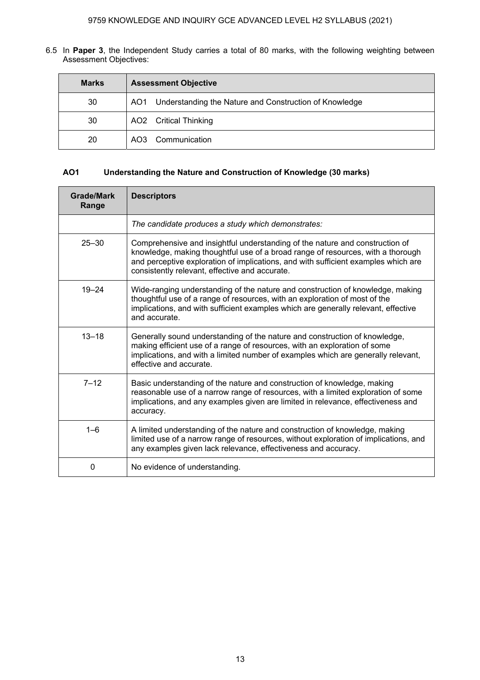6.5 In **Paper 3**, the Independent Study carries a total of 80 marks, with the following weighting between Assessment Objectives:

| <b>Marks</b> | <b>Assessment Objective</b>                                |  |  |  |
|--------------|------------------------------------------------------------|--|--|--|
| 30           | AO1 Understanding the Nature and Construction of Knowledge |  |  |  |
| 30           | AO2 Critical Thinking                                      |  |  |  |
| 20           | AO3 Communication                                          |  |  |  |

### **AO1 Understanding the Nature and Construction of Knowledge (30 marks)**

| Grade/Mark<br>Range | <b>Descriptors</b>                                                                                                                                                                                                                                                                                      |
|---------------------|---------------------------------------------------------------------------------------------------------------------------------------------------------------------------------------------------------------------------------------------------------------------------------------------------------|
|                     | The candidate produces a study which demonstrates:                                                                                                                                                                                                                                                      |
| $25 - 30$           | Comprehensive and insightful understanding of the nature and construction of<br>knowledge, making thoughtful use of a broad range of resources, with a thorough<br>and perceptive exploration of implications, and with sufficient examples which are<br>consistently relevant, effective and accurate. |
| $19 - 24$           | Wide-ranging understanding of the nature and construction of knowledge, making<br>thoughtful use of a range of resources, with an exploration of most of the<br>implications, and with sufficient examples which are generally relevant, effective<br>and accurate.                                     |
| $13 - 18$           | Generally sound understanding of the nature and construction of knowledge,<br>making efficient use of a range of resources, with an exploration of some<br>implications, and with a limited number of examples which are generally relevant,<br>effective and accurate.                                 |
| $7 - 12$            | Basic understanding of the nature and construction of knowledge, making<br>reasonable use of a narrow range of resources, with a limited exploration of some<br>implications, and any examples given are limited in relevance, effectiveness and<br>accuracy.                                           |
| $1 - 6$             | A limited understanding of the nature and construction of knowledge, making<br>limited use of a narrow range of resources, without exploration of implications, and<br>any examples given lack relevance, effectiveness and accuracy.                                                                   |
| 0                   | No evidence of understanding.                                                                                                                                                                                                                                                                           |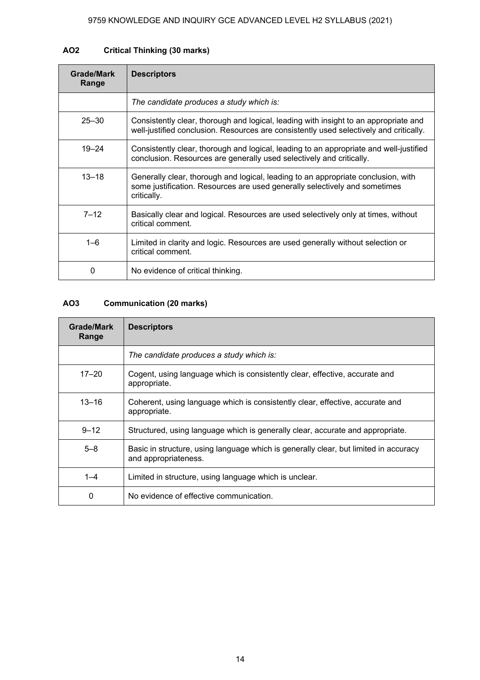### **AO2 Critical Thinking (30 marks)**

| <b>Grade/Mark</b><br>Range | <b>Descriptors</b>                                                                                                                                                             |
|----------------------------|--------------------------------------------------------------------------------------------------------------------------------------------------------------------------------|
|                            | The candidate produces a study which is:                                                                                                                                       |
| $25 - 30$                  | Consistently clear, thorough and logical, leading with insight to an appropriate and<br>well-justified conclusion. Resources are consistently used selectively and critically. |
| $19 - 24$                  | Consistently clear, thorough and logical, leading to an appropriate and well-justified<br>conclusion. Resources are generally used selectively and critically.                 |
| $13 - 18$                  | Generally clear, thorough and logical, leading to an appropriate conclusion, with<br>some justification. Resources are used generally selectively and sometimes<br>critically. |
| $7 - 12$                   | Basically clear and logical. Resources are used selectively only at times, without<br>critical comment.                                                                        |
| $1 - 6$                    | Limited in clarity and logic. Resources are used generally without selection or<br>critical comment.                                                                           |
| 0                          | No evidence of critical thinking.                                                                                                                                              |

### **AO3 Communication (20 marks)**

| Grade/Mark<br>Range | <b>Descriptors</b>                                                                                           |
|---------------------|--------------------------------------------------------------------------------------------------------------|
|                     | The candidate produces a study which is:                                                                     |
| $17 - 20$           | Cogent, using language which is consistently clear, effective, accurate and<br>appropriate.                  |
| $13 - 16$           | Coherent, using language which is consistently clear, effective, accurate and<br>appropriate.                |
| $9 - 12$            | Structured, using language which is generally clear, accurate and appropriate.                               |
| $5 - 8$             | Basic in structure, using language which is generally clear, but limited in accuracy<br>and appropriateness. |
| $1 - 4$             | Limited in structure, using language which is unclear.                                                       |
| 0                   | No evidence of effective communication.                                                                      |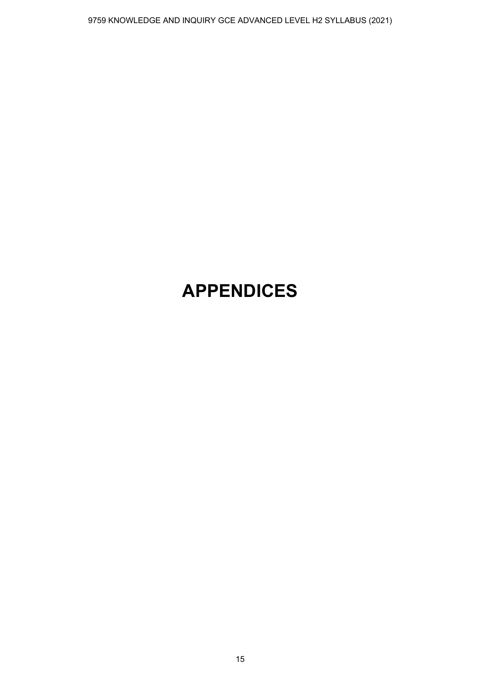# **APPENDICES**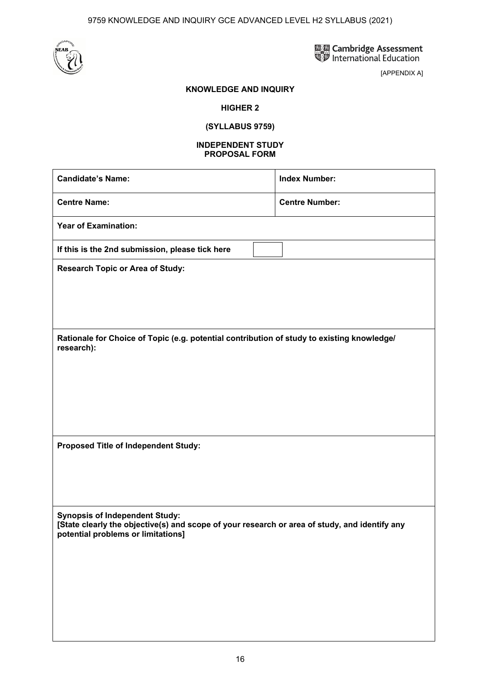

區區 Cambridge Assessment<br>SD International Education

[APPENDIX A]

### **KNOWLEDGE AND INQUIRY**

### **HIGHER 2**

**(SYLLABUS 9759)** 

#### **INDEPENDENT STUDY PROPOSAL FORM**

| <b>Candidate's Name:</b>                                                                                                                                                     | <b>Index Number:</b>  |  |  |
|------------------------------------------------------------------------------------------------------------------------------------------------------------------------------|-----------------------|--|--|
| <b>Centre Name:</b>                                                                                                                                                          | <b>Centre Number:</b> |  |  |
| <b>Year of Examination:</b>                                                                                                                                                  |                       |  |  |
| If this is the 2nd submission, please tick here                                                                                                                              |                       |  |  |
| <b>Research Topic or Area of Study:</b>                                                                                                                                      |                       |  |  |
|                                                                                                                                                                              |                       |  |  |
|                                                                                                                                                                              |                       |  |  |
| Rationale for Choice of Topic (e.g. potential contribution of study to existing knowledge/<br>research):                                                                     |                       |  |  |
|                                                                                                                                                                              |                       |  |  |
|                                                                                                                                                                              |                       |  |  |
|                                                                                                                                                                              |                       |  |  |
|                                                                                                                                                                              |                       |  |  |
| Proposed Title of Independent Study:                                                                                                                                         |                       |  |  |
|                                                                                                                                                                              |                       |  |  |
|                                                                                                                                                                              |                       |  |  |
| <b>Synopsis of Independent Study:</b><br>[State clearly the objective(s) and scope of your research or area of study, and identify any<br>potential problems or limitations] |                       |  |  |
|                                                                                                                                                                              |                       |  |  |
|                                                                                                                                                                              |                       |  |  |
|                                                                                                                                                                              |                       |  |  |
|                                                                                                                                                                              |                       |  |  |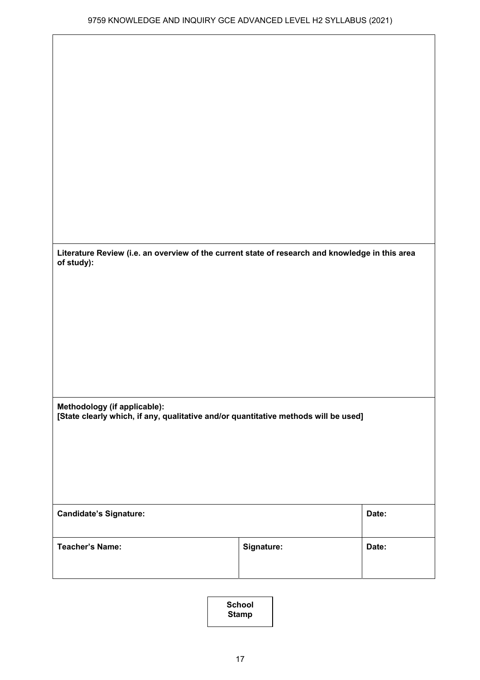| Literature Review (i.e. an overview of the current state of research and knowledge in this area<br>of study): |                                                                                     |       |  |  |
|---------------------------------------------------------------------------------------------------------------|-------------------------------------------------------------------------------------|-------|--|--|
|                                                                                                               |                                                                                     |       |  |  |
|                                                                                                               |                                                                                     |       |  |  |
|                                                                                                               |                                                                                     |       |  |  |
|                                                                                                               |                                                                                     |       |  |  |
| Methodology (if applicable):                                                                                  | [State clearly which, if any, qualitative and/or quantitative methods will be used] |       |  |  |
|                                                                                                               |                                                                                     |       |  |  |
|                                                                                                               |                                                                                     |       |  |  |
|                                                                                                               |                                                                                     |       |  |  |
| Date:<br><b>Candidate's Signature:</b>                                                                        |                                                                                     |       |  |  |
| <b>Teacher's Name:</b>                                                                                        | Signature:                                                                          | Date: |  |  |
|                                                                                                               |                                                                                     |       |  |  |

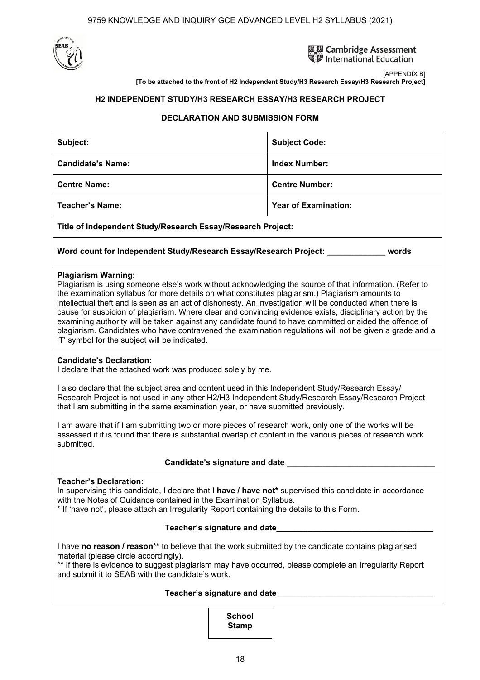

**國國 Cambridge Assessment** International Education

[APPENDIX B] **[To be attached to the front of H2 Independent Study/H3 Research Essay/H3 Research Project]** 

### **H2 INDEPENDENT STUDY/H3 RESEARCH ESSAY/H3 RESEARCH PROJECT**

### **DECLARATION AND SUBMISSION FORM**

| Subject:                                                    | <b>Subject Code:</b>        |  |  |
|-------------------------------------------------------------|-----------------------------|--|--|
| <b>Candidate's Name:</b>                                    | <b>Index Number:</b>        |  |  |
| <b>Centre Name:</b>                                         | <b>Centre Number:</b>       |  |  |
| <b>Teacher's Name:</b>                                      | <b>Year of Examination:</b> |  |  |
| Title of Independent Study/Research Essay/Research Project: |                             |  |  |
|                                                             |                             |  |  |

### **Word count for Independent Study/Research Essay/Research Project: \_\_\_\_\_\_\_\_\_\_\_\_\_ words**

### **Plagiarism Warning:**

Plagiarism is using someone else's work without acknowledging the source of that information. (Refer to the examination syllabus for more details on what constitutes plagiarism.) Plagiarism amounts to intellectual theft and is seen as an act of dishonesty. An investigation will be conducted when there is cause for suspicion of plagiarism. Where clear and convincing evidence exists, disciplinary action by the examining authority will be taken against any candidate found to have committed or aided the offence of plagiarism. Candidates who have contravened the examination regulations will not be given a grade and a 'T' symbol for the subject will be indicated.

#### **Candidate's Declaration:**

I declare that the attached work was produced solely by me.

I also declare that the subject area and content used in this Independent Study/Research Essay/ Research Project is not used in any other H2/H3 Independent Study/Research Essay/Research Project that I am submitting in the same examination year, or have submitted previously.

I am aware that if I am submitting two or more pieces of research work, only one of the works will be assessed if it is found that there is substantial overlap of content in the various pieces of research work submitted.

### **Candidate's signature and date \_\_\_\_\_\_\_\_\_\_\_\_\_\_\_\_\_\_\_\_\_\_\_\_\_\_\_\_\_\_\_\_\_**

### **Teacher's Declaration:**

In supervising this candidate, I declare that I **have / have not**\* supervised this candidate in accordance with the Notes of Guidance contained in the Examination Syllabus.

\* If 'have not', please attach an Irregularity Report containing the details to this Form.

### **Teacher's signature and date\_\_\_\_\_\_\_\_\_\_\_\_\_\_\_\_\_\_\_\_\_\_\_\_\_\_\_\_\_\_\_\_\_\_\_**

I have **no reason / reason\*\*** to believe that the work submitted by the candidate contains plagiarised material (please circle accordingly).

\*\* If there is evidence to suggest plagiarism may have occurred, please complete an Irregularity Report and submit it to SEAB with the candidate's work.

### **Teacher's signature and date\_\_\_\_\_\_\_\_\_\_\_\_\_\_\_\_\_\_\_\_\_\_\_\_\_\_\_\_\_\_\_\_\_\_\_**

### **School Stamp**